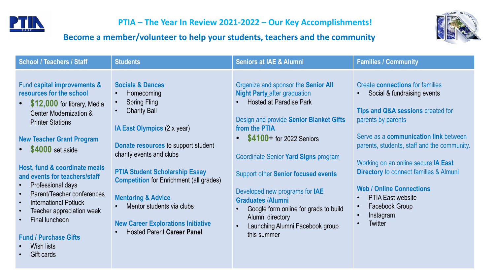

**PTIA** – The Year In Review 2021-2022 – Our Key Accomplishments!

## Become a member/volunteer to help your students, teachers and the community



| <b>School / Teachers / Staff</b>                                                                                                                                                                                                                                                                                                                                                                                                                                                                                                                                                                    | <b>Students</b>                                                                                                                                                                                                                                                                                                                                                                                                                             | <b>Seniors at IAE &amp; Alumni</b>                                                                                                                                                                                                                                                                                                                                                                                                                                        | <b>Families / Community</b>                                                                                                                                                                                                                                                                                                                                                                                               |
|-----------------------------------------------------------------------------------------------------------------------------------------------------------------------------------------------------------------------------------------------------------------------------------------------------------------------------------------------------------------------------------------------------------------------------------------------------------------------------------------------------------------------------------------------------------------------------------------------------|---------------------------------------------------------------------------------------------------------------------------------------------------------------------------------------------------------------------------------------------------------------------------------------------------------------------------------------------------------------------------------------------------------------------------------------------|---------------------------------------------------------------------------------------------------------------------------------------------------------------------------------------------------------------------------------------------------------------------------------------------------------------------------------------------------------------------------------------------------------------------------------------------------------------------------|---------------------------------------------------------------------------------------------------------------------------------------------------------------------------------------------------------------------------------------------------------------------------------------------------------------------------------------------------------------------------------------------------------------------------|
| Fund capital improvements &<br>resources for the school<br>\$12,000 for library, Media<br>$\bullet$<br><b>Center Modernization &amp;</b><br><b>Printer Stations</b><br><b>New Teacher Grant Program</b><br>\$4000 set aside<br>$\bullet$<br>Host, fund & coordinate meals<br>and events for teachers/staff<br>Professional days<br>$\bullet$<br>Parent/Teacher conferences<br>$\bullet$<br><b>International Potluck</b><br>$\bullet$<br>Teacher appreciation week<br>$\bullet$<br>Final luncheon<br>$\bullet$<br><b>Fund / Purchase Gifts</b><br>Wish lists<br>$\bullet$<br>Gift cards<br>$\bullet$ | <b>Socials &amp; Dances</b><br><b>Homecoming</b><br><b>Spring Fling</b><br><b>Charity Ball</b><br>IA East Olympics (2 x year)<br>Donate resources to support student<br>charity events and clubs<br><b>PTIA Student Scholarship Essay</b><br><b>Competition for Enrichment (all grades)</b><br><b>Mentoring &amp; Advice</b><br>Mentor students via clubs<br><b>New Career Explorations Initiative</b><br><b>Hosted Parent Career Panel</b> | Organize and sponsor the Senior All<br><b>Night Party after graduation</b><br><b>Hosted at Paradise Park</b><br>Design and provide Senior Blanket Gifts<br>from the PTIA<br>• \$4100+ for 2022 Seniors<br>Coordinate Senior Yard Signs program<br><b>Support other Senior focused events</b><br>Developed new programs for IAE<br><b>Graduates /Alumni</b><br>Google form online for grads to build<br>Alumni directory<br>Launching Alumni Facebook group<br>this summer | <b>Create connections for families</b><br>Social & fundraising events<br>Tips and Q&A sessions created for<br>parents by parents<br>Serve as a communication link between<br>parents, students, staff and the community.<br>Working on an online secure IA East<br><b>Directory</b> to connect families & Almuni<br><b>Web / Online Connections</b><br><b>PTIA East website</b><br>Facebook Group<br>Instagram<br>Twitter |